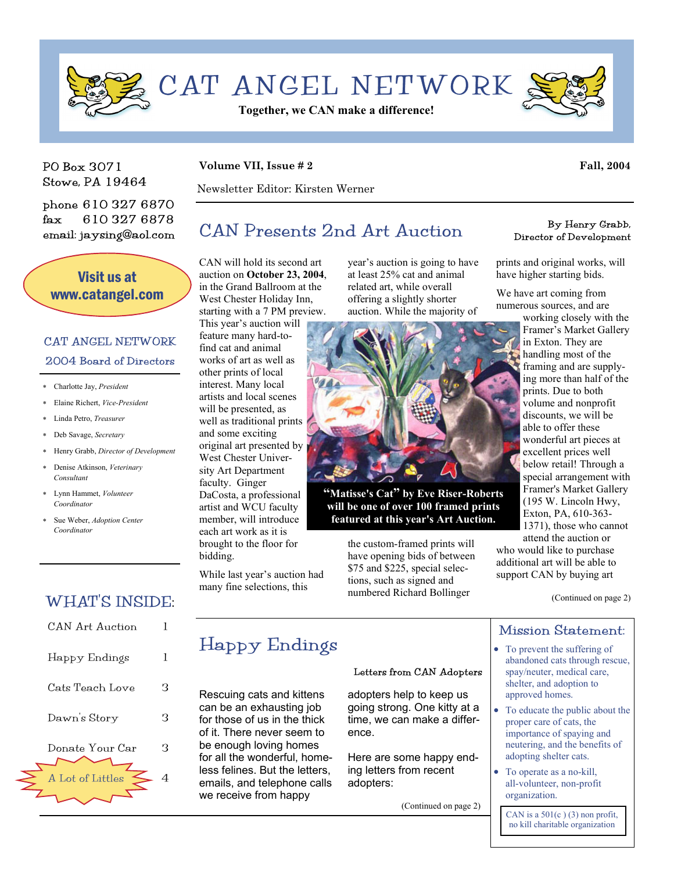

PO Box 3071 Stowe, PA 19464

phone 610 327 6870 fax 610 327 6878 email: jaysing@aol.com

Visit us at www.catangel.com

### CAT ANGEL NETWORK 2004 Board of Directors

- ∗ Charlotte Jay, *President*
- ∗ Elaine Richert, *Vice-President*
- ∗ Linda Petro, *Treasurer*
- ∗ Deb Savage, *Secretary*
- ∗ Henry Grabb, *Director of Development*
- ∗ Denise Atkinson, *Veterinary Consultant*
- ∗ Lynn Hammet, *Volunteer Coordinator*
- ∗ Sue Weber, *Adoption Center Coordinator*

### WHAT'S INSIDE:

| CAN Art Auction  |   |
|------------------|---|
| Happy Endings    | L |
| Cats Teach Love  | З |
| Dawn's Story     | З |
| Donate Your Car  | З |
| A Lot of Littles |   |

#### **Volume VII, Issue # 2** Fall, 2004

Newsletter Editor: Kirsten Werner

# $CAN$  Presents 2nd Art Auction By Henry Grabb,

CAN will hold its second art auction on **October 23, 2004**, in the Grand Ballroom at the West Chester Holiday Inn, starting with a 7 PM preview. This year's auction will

feature many hard-tofind cat and animal works of art as well as other prints of local interest. Many local artists and local scenes will be presented, as well as traditional prints and some exciting original art presented by West Chester University Art Department faculty. Ginger DaCosta, a professional artist and WCU faculty member, will introduce each art work as it is brought to the floor for bidding.

While last year's auction had many fine selections, this

year's auction is going to have at least 25% cat and animal related art, while overall offering a slightly shorter auction. While the majority of



**"Matisse's Cat" by Eve Riser-Roberts will be one of over 100 framed prints featured at this year's Art Auction.** 

> the custom-framed prints will have opening bids of between \$75 and \$225, special selections, such as signed and numbered Richard Bollinger

Director of Development

prints and original works, will have higher starting bids.

We have art coming from numerous sources, and are

working closely with the Framer's Market Gallery in Exton. They are handling most of the framing and are supplying more than half of the prints. Due to both volume and nonprofit discounts, we will be able to offer these wonderful art pieces at excellent prices well below retail! Through a special arrangement with Framer's Market Gallery (195 W. Lincoln Hwy, Exton, PA, 610-363- 1371), those who cannot

attend the auction or who would like to purchase additional art will be able to support CAN by buying art

(Continued on page 2)

### Mission Statement:

- To prevent the suffering of abandoned cats through rescue, spay/neuter, medical care, shelter, and adoption to approved homes.
- To educate the public about the proper care of cats, the importance of spaying and neutering, and the benefits of adopting shelter cats.
- To operate as a no-kill, all-volunteer, non-profit organization.

CAN is a  $501(c)$  (3) non profit. no kill charitable organization

## Happy Endings

Rescuing cats and kittens can be an exhausting job for those of us in the thick of it. There never seem to be enough loving homes for all the wonderful, homeless felines. But the letters, emails, and telephone calls we receive from happy

#### Letters from CAN Adopters

adopters help to keep us going strong. One kitty at a time, we can make a difference.

Here are some happy ending letters from recent adopters:

(Continued on page 2)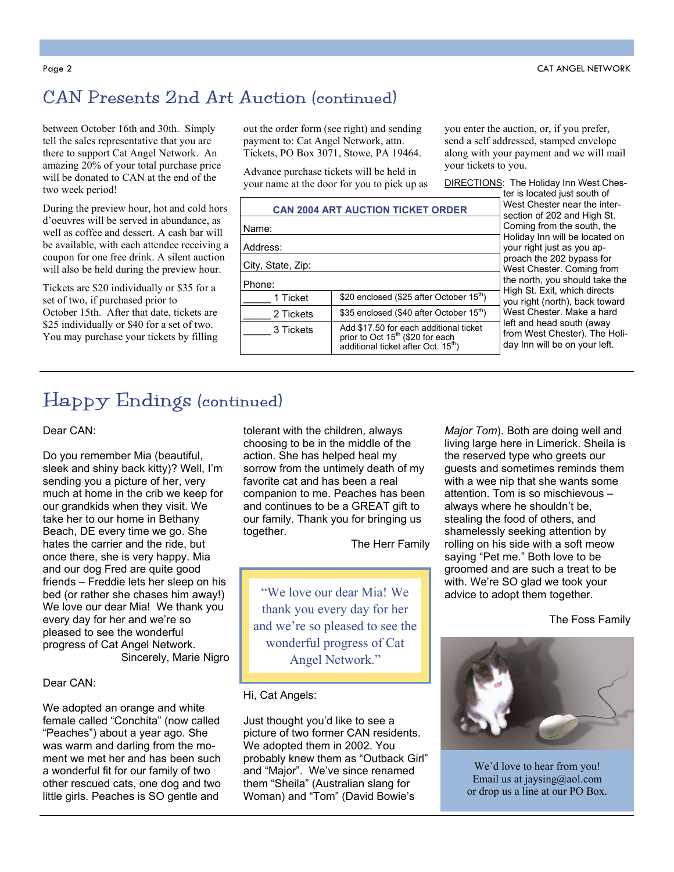## CAN Presents 2nd Art Auction (continued)

between October 16th and 30th. Simply tell the sales representative that you are there to support Cat Angel Network. An amazing 20% of your total purchase price will be donated to CAN at the end of the two week period!

During the preview hour, hot and cold hors d'oeuvres will be served in abundance, as well as coffee and dessert. A cash bar will be available, with each attendee receiving a coupon for one free drink. A silent auction will also be held during the preview hour.

Tickets are \$20 individually or \$35 for a set of two, if purchased prior to October 15th. After that date, tickets are \$25 individually or \$40 for a set of two. You may purchase your tickets by filling out the order form (see right) and sending payment to: Cat Angel Network, attn. Tickets, PO Box 3071, Stowe, PA 19464.

Advance purchase tickets will be held in your name at the door for you to pick up as you enter the auction, or, if you prefer, send a self addressed, stamped envelope along with your payment and we will mail your tickets to you.

DIRECTIONS: The Holiday Inn West Ches-

|                   | <b>CAN 2004 ART AUCTION TICKET ORDER</b>                                                                                                  |
|-------------------|-------------------------------------------------------------------------------------------------------------------------------------------|
| Name:             |                                                                                                                                           |
| Address:          |                                                                                                                                           |
| City, State, Zip: |                                                                                                                                           |
| Phone:            |                                                                                                                                           |
| 1 Ticket          | \$20 enclosed (\$25 after October 15 <sup>th</sup> )                                                                                      |
| 2 Tickets         | \$35 enclosed (\$40 after October 15 <sup>th</sup> )                                                                                      |
| 3 Tickets         | Add \$17.50 for each additional ticket<br>prior to Oct 15 <sup>th</sup> (\$20 for each<br>additional ticket after Oct. 15 <sup>th</sup> ) |

ter is located just south of West Chester near the intersection of 202 and High St. Coming from the south, the Holiday Inn will be located on your right just as you approach the 202 bypass for West Chester. Coming from the north, you should take the High St. Exit, which directs you right (north), back toward West Chester. Make a hard left and head south (away from West Chester). The Holiday Inn will be on your left.

# Happy Endings (continued)

Dear CAN:

Do you remember Mia (beautiful, sleek and shiny back kitty)? Well, I'm sending you a picture of her, very much at home in the crib we keep for our grandkids when they visit. We take her to our home in Bethany Beach, DE every time we go. She hates the carrier and the ride, but once there, she is very happy. Mia and our dog Fred are quite good friends – Freddie lets her sleep on his bed (or rather she chases him away!) We love our dear Mia! We thank you every day for her and we're so pleased to see the wonderful progress of Cat Angel Network. Sincerely, Marie Nigro

#### Dear CAN:

We adopted an orange and white female called "Conchita" (now called "Peaches") about a year ago. She was warm and darling from the moment we met her and has been such a wonderful fit for our family of two other rescued cats, one dog and two little girls. Peaches is SO gentle and

tolerant with the children, always choosing to be in the middle of the action. She has helped heal my sorrow from the untimely death of my favorite cat and has been a real companion to me. Peaches has been and continues to be a GREAT gift to our family. Thank you for bringing us together.

The Herr Family

"We love our dear Mia! We thank you every day for her and we're so pleased to see the wonderful progress of Cat Angel Network."

#### Hi, Cat Angels:

Just thought you'd like to see a picture of two former CAN residents. We adopted them in 2002. You probably knew them as "Outback Girl" and "Major". We've since renamed them "Sheila" (Australian slang for Woman) and "Tom" (David Bowie's

*Major Tom*). Both are doing well and living large here in Limerick. Sheila is the reserved type who greets our guests and sometimes reminds them with a wee nip that she wants some attention. Tom is so mischievous – always where he shouldn't be, stealing the food of others, and shamelessly seeking attention by rolling on his side with a soft meow saying "Pet me." Both love to be groomed and are such a treat to be with. We're SO glad we took your advice to adopt them together.

The Foss Family



We'd love to hear from you! Email us at jaysing@aol.com or drop us a line at our PO Box.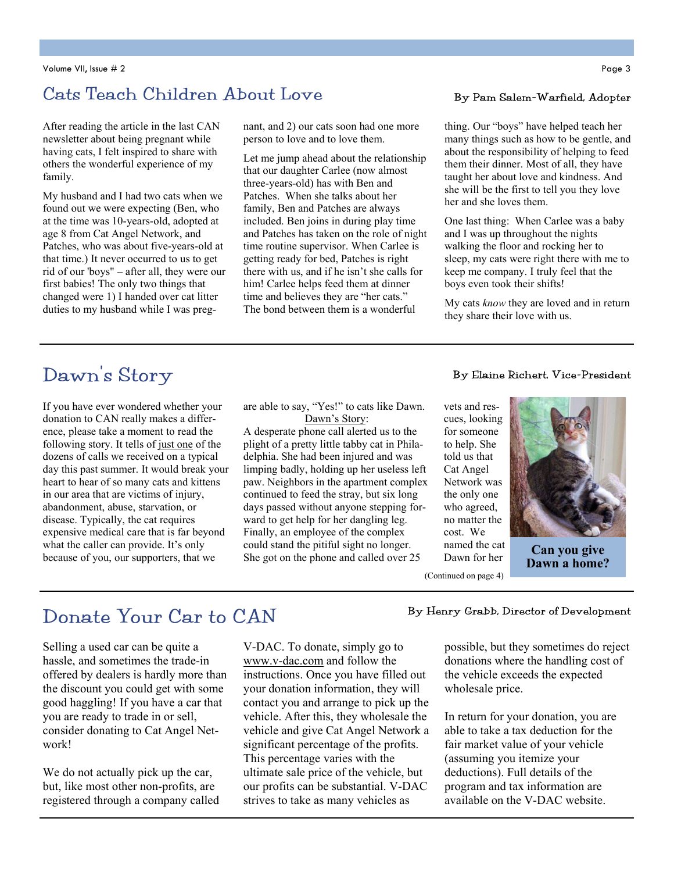### Cats Teach Children About Love By Pam Salem-Warfield, Adopter

After reading the article in the last CAN newsletter about being pregnant while having cats, I felt inspired to share with others the wonderful experience of my family.

My husband and I had two cats when we found out we were expecting (Ben, who at the time was 10-years-old, adopted at age 8 from Cat Angel Network, and Patches, who was about five-years-old at that time.) It never occurred to us to get rid of our 'boys" – after all, they were our first babies! The only two things that changed were 1) I handed over cat litter duties to my husband while I was preg-

#### nant, and 2) our cats soon had one more person to love and to love them.

Let me jump ahead about the relationship that our daughter Carlee (now almost three-years-old) has with Ben and Patches. When she talks about her family, Ben and Patches are always included. Ben joins in during play time and Patches has taken on the role of night time routine supervisor. When Carlee is getting ready for bed, Patches is right there with us, and if he isn't she calls for him! Carlee helps feed them at dinner time and believes they are "her cats." The bond between them is a wonderful

thing. Our "boys" have helped teach her many things such as how to be gentle, and about the responsibility of helping to feed them their dinner. Most of all, they have taught her about love and kindness. And she will be the first to tell you they love her and she loves them.

One last thing: When Carlee was a baby and I was up throughout the nights walking the floor and rocking her to sleep, my cats were right there with me to keep me company. I truly feel that the boys even took their shifts!

My cats *know* they are loved and in return they share their love with us.

# Dawn's Story

If you have ever wondered whether your donation to CAN really makes a difference, please take a moment to read the following story. It tells of just one of the dozens of calls we received on a typical day this past summer. It would break your heart to hear of so many cats and kittens in our area that are victims of injury, abandonment, abuse, starvation, or disease. Typically, the cat requires expensive medical care that is far beyond what the caller can provide. It's only because of you, our supporters, that we

are able to say, "Yes!" to cats like Dawn. Dawn's Story:

A desperate phone call alerted us to the plight of a pretty little tabby cat in Philadelphia. She had been injured and was limping badly, holding up her useless left paw. Neighbors in the apartment complex continued to feed the stray, but six long days passed without anyone stepping forward to get help for her dangling leg. Finally, an employee of the complex could stand the pitiful sight no longer. She got on the phone and called over 25

#### By Elaine Richert, Vice-President

vets and rescues, looking for someone to help. She told us that Cat Angel Network was the only one who agreed, no matter the cost. We named the cat Dawn for her



**Can you give Dawn a home?** 

(Continued on page 4)

# Donate Your Car to CAN

Selling a used car can be quite a hassle, and sometimes the trade-in offered by dealers is hardly more than the discount you could get with some good haggling! If you have a car that you are ready to trade in or sell, consider donating to Cat Angel Network!

We do not actually pick up the car, but, like most other non-profits, are registered through a company called V-DAC. To donate, simply go to www.v-dac.com and follow the instructions. Once you have filled out your donation information, they will contact you and arrange to pick up the vehicle. After this, they wholesale the vehicle and give Cat Angel Network a significant percentage of the profits. This percentage varies with the ultimate sale price of the vehicle, but our profits can be substantial. V-DAC strives to take as many vehicles as

#### By Henry Grabb, Director of Development

possible, but they sometimes do reject donations where the handling cost of the vehicle exceeds the expected wholesale price.

In return for your donation, you are able to take a tax deduction for the fair market value of your vehicle (assuming you itemize your deductions). Full details of the program and tax information are available on the V-DAC website.